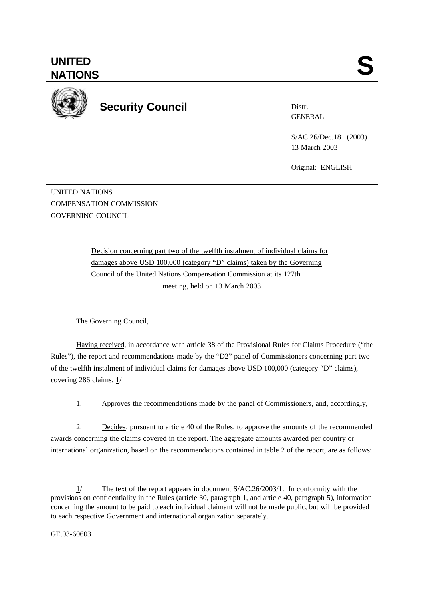

**Security Council**

Distr. **GENERAL** 

S/AC.26/Dec.181 (2003) 13 March 2003

Original: ENGLISH

UNITED NATIONS COMPENSATION COMMISSION GOVERNING COUNCIL

> Decision concerning part two of the twelfth instalment of individual claims for damages above USD 100,000 (category "D" claims) taken by the Governing Council of the United Nations Compensation Commission at its 127th meeting, held on 13 March 2003

The Governing Council,

Having received, in accordance with article 38 of the Provisional Rules for Claims Procedure ("the Rules"), the report and recommendations made by the "D2" panel of Commissioners concerning part two of the twelfth instalment of individual claims for damages above USD 100,000 (category "D" claims), covering 286 claims,  $1/$ 

1. Approves the recommendations made by the panel of Commissioners, and, accordingly,

2. Decides, pursuant to article 40 of the Rules, to approve the amounts of the recommended awards concerning the claims covered in the report. The aggregate amounts awarded per country or international organization, based on the recommendations contained in table 2 of the report, are as follows:

l

<sup>1/</sup> The text of the report appears in document S/AC.26/2003/1. In conformity with the provisions on confidentiality in the Rules (article 30, paragraph 1, and article 40, paragraph 5), information concerning the amount to be paid to each individual claimant will not be made public, but will be provided to each respective Government and international organization separately.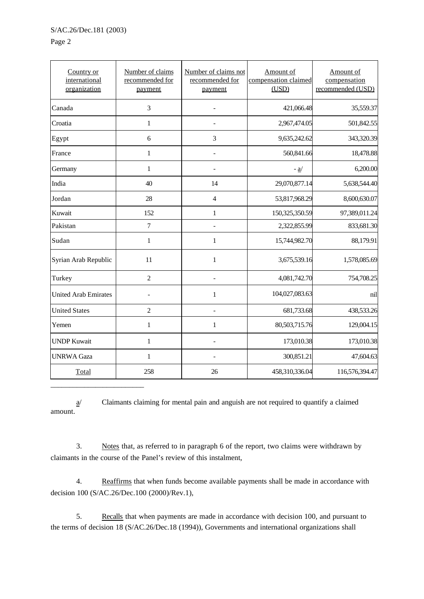\_\_\_\_\_\_\_\_\_\_\_\_\_\_\_\_\_\_\_\_\_\_\_\_\_

Page 2

| Country or<br>international<br>organization | Number of claims<br>recommended for<br>payment | Number of claims not<br>recommended for<br>payment | Amount of<br>compensation claimed<br>(USD) | Amount of<br>compensation<br>recommended (USD) |
|---------------------------------------------|------------------------------------------------|----------------------------------------------------|--------------------------------------------|------------------------------------------------|
| Canada                                      | $\overline{3}$                                 |                                                    | 421,066.48                                 | 35,559.37                                      |
| Croatia                                     | $\mathbf{1}$                                   |                                                    | 2,967,474.05                               | 501,842.55                                     |
| Egypt                                       | 6                                              | 3                                                  | 9,635,242.62                               | 343,320.39                                     |
| France                                      | $\mathbf{1}$                                   |                                                    | 560,841.66                                 | 18,478.88                                      |
| Germany                                     | $\mathbf{1}$                                   |                                                    | $-a$                                       | 6,200.00                                       |
| India                                       | 40                                             | 14                                                 | 29,070,877.14                              | 5,638,544.40                                   |
| Jordan                                      | 28                                             | $\overline{4}$                                     | 53,817,968.29                              | 8,600,630.07                                   |
| Kuwait                                      | 152                                            | $\mathbf{1}$                                       | 150,325,350.59                             | 97,389,011.24                                  |
| Pakistan                                    | $\overline{7}$                                 |                                                    | 2,322,855.99                               | 833,681.30                                     |
| Sudan                                       | $\mathbf{1}$                                   | $\mathbf{1}$                                       | 15,744,982.70                              | 88,179.91                                      |
| Syrian Arab Republic                        | 11                                             | $\mathbf{1}$                                       | 3,675,539.16                               | 1,578,085.69                                   |
| Turkey                                      | $\overline{c}$                                 |                                                    | 4,081,742.70                               | 754,708.25                                     |
| <b>United Arab Emirates</b>                 |                                                | $\mathbf{1}$                                       | 104,027,083.63                             | nil                                            |
| <b>United States</b>                        | $\overline{2}$                                 | $\overline{a}$                                     | 681,733.68                                 | 438,533.26                                     |
| Yemen                                       | $\mathbf{1}$                                   | $\mathbf{1}$                                       | 80,503,715.76                              | 129,004.15                                     |
| <b>UNDP Kuwait</b>                          | $\mathbf{1}$                                   |                                                    | 173,010.38                                 | 173,010.38                                     |
| <b>UNRWA Gaza</b>                           | $\mathbf{1}$                                   |                                                    | 300,851.21                                 | 47,604.63                                      |
| Total                                       | 258                                            | 26                                                 | 458,310,336.04                             | 116,576,394.47                                 |

 $\underline{a}$  Claimants claiming for mental pain and anguish are not required to quantify a claimed amount.

3. Notes that, as referred to in paragraph 6 of the report, two claims were withdrawn by claimants in the course of the Panel's review of this instalment,

4. Reaffirms that when funds become available payments shall be made in accordance with decision 100 (S/AC.26/Dec.100 (2000)/Rev.1),

5. Recalls that when payments are made in accordance with decision 100, and pursuant to the terms of decision 18 (S/AC.26/Dec.18 (1994)), Governments and international organizations shall